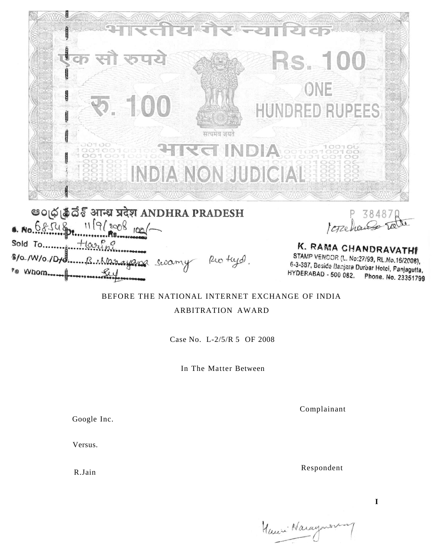

eo@@& उनम्य प्रदेश ANDHRA PRADESH  $1119(2008)00$  $68548$ Sold To.......  $Hovf$ \$10.1W/0.1Dtd........B. Alarayana swamy Rio tryd. 79 Whom....

P 384870

K. RAMA CHANDRAVATHI STAMP VENDOR (L. No.27/99, RL.No.16/2008), 6-3-387, Beside Banjara Durbar Hotel, Panjagutta, HYDERABAD - 500 082. Phone. No. 23351799

# BEFORE THE NATIONAL INTERNET EXCHANGE OF INDIA

ARBITRATION AWARD

Case No. L-2/5/R 5 OF 2008

In The Matter Between

Complainant

Google Inc.

Versus.

R.Jain

Respondent

**I** 

Hauri Narayasa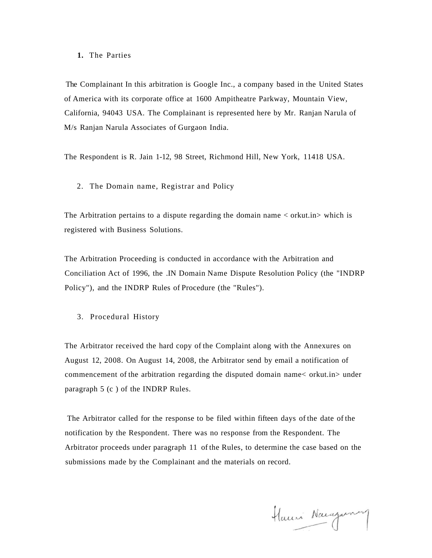# **1.** The Parties

The Complainant In this arbitration is Google Inc., a company based in the United States of America with its corporate office at 1600 Ampitheatre Parkway, Mountain View, California, 94043 USA. The Complainant is represented here by Mr. Ranjan Narula of M/s Ranjan Narula Associates of Gurgaon India.

The Respondent is R. Jain 1-12, 98 Street, Richmond Hill, New York, 11418 USA.

2. The Domain name, Registrar and Policy

The Arbitration pertains to a dispute regarding the domain name < orkut.in> which is registered with Business Solutions.

The Arbitration Proceeding is conducted in accordance with the Arbitration and Conciliation Act of 1996, the .IN Domain Name Dispute Resolution Policy (the "INDRP Policy"), and the INDRP Rules of Procedure (the "Rules").

3. Procedural History

The Arbitrator received the hard copy of the Complaint along with the Annexures on August 12, 2008. On August 14, 2008, the Arbitrator send by email a notification of commencement of the arbitration regarding the disputed domain name< orkut.in> under paragraph 5 (c ) of the INDRP Rules.

The Arbitrator called for the response to be filed within fifteen days of the date of the notification by the Respondent. There was no response from the Respondent. The Arbitrator proceeds under paragraph 11 of the Rules, to determine the case based on the submissions made by the Complainant and the materials on record.

Hauni Nacazarna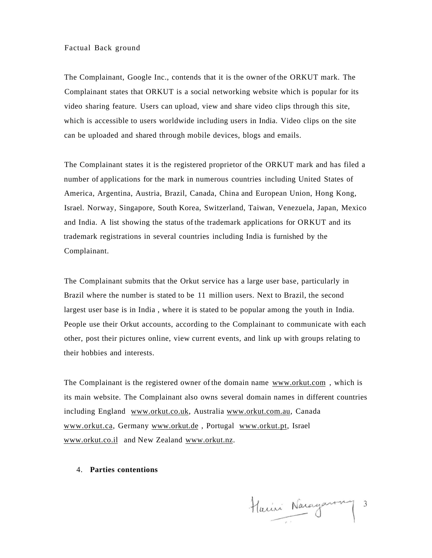## Factual Back ground

The Complainant, Google Inc., contends that it is the owner of the ORKUT mark. The Complainant states that ORKUT is a social networking website which is popular for its video sharing feature. Users can upload, view and share video clips through this site, which is accessible to users worldwide including users in India. Video clips on the site can be uploaded and shared through mobile devices, blogs and emails.

The Complainant states it is the registered proprietor of the ORKUT mark and has filed a number of applications for the mark in numerous countries including United States of America, Argentina, Austria, Brazil, Canada, China and European Union, Hong Kong, Israel. Norway, Singapore, South Korea, Switzerland, Taiwan, Venezuela, Japan, Mexico and India. A list showing the status of the trademark applications for ORKUT and its trademark registrations in several countries including India is furnished by the Complainant.

The Complainant submits that the Orkut service has a large user base, particularly in Brazil where the number is stated to be 11 million users. Next to Brazil, the second largest user base is in India , where it is stated to be popular among the youth in India. People use their Orkut accounts, according to the Complainant to communicate with each other, post their pictures online, view current events, and link up with groups relating to their hobbies and interests.

The Complainant is the registered owner of the domain name [www.orkut.com ,](http://www.orkur..com) which is its main website. The Complainant also owns several domain names in different countries including England [www.orkut.co.uk,](http://www.orkut.co.uk) Australia [www.orkut.com.au,](http://www.orkut.com.au) Canada [www.orkut.ca,](http://www.orkut.ca) Germany [www.orkut.de ,](http://www.orkut.de) Portugal [www.orkut.pt,](http://www.orkut.pt) Israel [www.orkut.co.il a](http://www.orkut.co.il)nd New Zealand [www.orkut.nz.](http://www.orkut.nz)

4. **Parties contentions** 

Harini Narayanny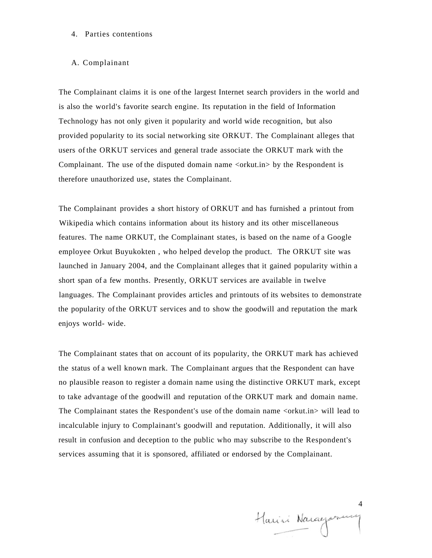# 4. Parties contentions

## A. Complainant

The Complainant claims it is one of the largest Internet search providers in the world and is also the world's favorite search engine. Its reputation in the field of Information Technology has not only given it popularity and world wide recognition, but also provided popularity to its social networking site ORKUT. The Complainant alleges that users of the ORKUT services and general trade associate the ORKUT mark with the Complainant. The use of the disputed domain name <orkut.in> by the Respondent is therefore unauthorized use, states the Complainant.

The Complainant provides a short history of ORKUT and has furnished a printout from Wikipedia which contains information about its history and its other miscellaneous features. The name ORKUT, the Complainant states, is based on the name of a Google employee Orkut Buyukokten , who helped develop the product. The ORKUT site was launched in January 2004, and the Complainant alleges that it gained popularity within a short span of a few months. Presently, ORKUT services are available in twelve languages. The Complainant provides articles and printouts of its websites to demonstrate the popularity of the ORKUT services and to show the goodwill and reputation the mark enjoys world- wide.

The Complainant states that on account of its popularity, the ORKUT mark has achieved the status of a well known mark. The Complainant argues that the Respondent can have no plausible reason to register a domain name using the distinctive ORKUT mark, except to take advantage of the goodwill and reputation of the ORKUT mark and domain name. The Complainant states the Respondent's use of the domain name <or kut.in > will lead to incalculable injury to Complainant's goodwill and reputation. Additionally, it will also result in confusion and deception to the public who may subscribe to the Respondent's services assuming that it is sponsored, affiliated or endorsed by the Complainant.

Harri Nacagarum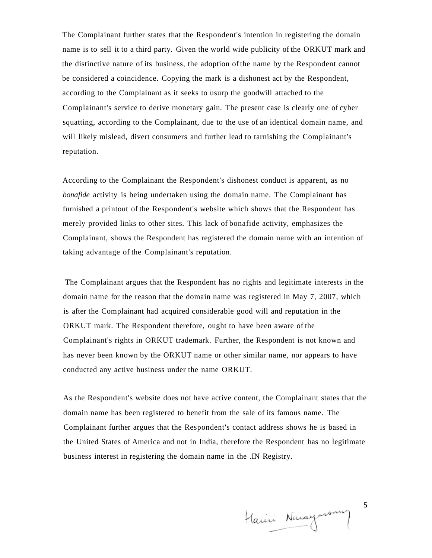The Complainant further states that the Respondent's intention in registering the domain name is to sell it to a third party. Given the world wide publicity of the ORKUT mark and the distinctive nature of its business, the adoption of the name by the Respondent cannot be considered a coincidence. Copying the mark is a dishonest act by the Respondent, according to the Complainant as it seeks to usurp the goodwill attached to the Complainant's service to derive monetary gain. The present case is clearly one of cyber squatting, according to the Complainant, due to the use of an identical domain name, and will likely mislead, divert consumers and further lead to tarnishing the Complainant's reputation.

According to the Complainant the Respondent's dishonest conduct is apparent, as no *bonafide* activity is being undertaken using the domain name. The Complainant has furnished a printout of the Respondent's website which shows that the Respondent has merely provided links to other sites. This lack of bonafide activity, emphasizes the Complainant, shows the Respondent has registered the domain name with an intention of taking advantage of the Complainant's reputation.

The Complainant argues that the Respondent has no rights and legitimate interests in the domain name for the reason that the domain name was registered in May 7, 2007, which is after the Complainant had acquired considerable good will and reputation in the ORKUT mark. The Respondent therefore, ought to have been aware of the Complainant's rights in ORKUT trademark. Further, the Respondent is not known and has never been known by the ORKUT name or other similar name, nor appears to have conducted any active business under the name ORKUT.

As the Respondent's website does not have active content, the Complainant states that the domain name has been registered to benefit from the sale of its famous name. The Complainant further argues that the Respondent's contact address shows he is based in the United States of America and not in India, therefore the Respondent has no legitimate business interest in registering the domain name in the .IN Registry.

Harin Naraynson

**5**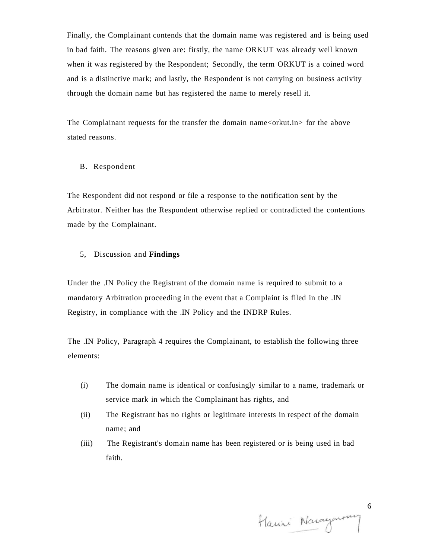Finally, the Complainant contends that the domain name was registered and is being used in bad faith. The reasons given are: firstly, the name ORKUT was already well known when it was registered by the Respondent; Secondly, the term ORKUT is a coined word and is a distinctive mark; and lastly, the Respondent is not carrying on business activity through the domain name but has registered the name to merely resell it.

The Complainant requests for the transfer the domain name $\langle$ orkut.in $\rangle$  for the above stated reasons.

### B. Respondent

The Respondent did not respond or file a response to the notification sent by the Arbitrator. Neither has the Respondent otherwise replied or contradicted the contentions made by the Complainant.

#### 5, Discussion and **Findings**

Under the .IN Policy the Registrant of the domain name is required to submit to a mandatory Arbitration proceeding in the event that a Complaint is filed in the .IN Registry, in compliance with the .IN Policy and the INDRP Rules.

The .IN Policy, Paragraph 4 requires the Complainant, to establish the following three elements:

- (i) The domain name is identical or confusingly similar to a name, trademark or service mark in which the Complainant has rights, and
- (ii) The Registrant has no rights or legitimate interests in respect of the domain name; and
- (iii) The Registrant's domain name has been registered or is being used in bad faith.

Hauri Narayanny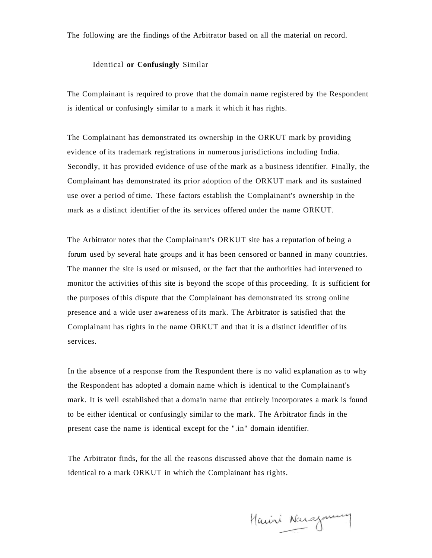The following are the findings of the Arbitrator based on all the material on record.

#### Identical **or Confusingly** Similar

The Complainant is required to prove that the domain name registered by the Respondent is identical or confusingly similar to a mark it which it has rights.

The Complainant has demonstrated its ownership in the ORKUT mark by providing evidence of its trademark registrations in numerous jurisdictions including India. Secondly, it has provided evidence of use of the mark as a business identifier. Finally, the Complainant has demonstrated its prior adoption of the ORKUT mark and its sustained use over a period of time. These factors establish the Complainant's ownership in the mark as a distinct identifier of the its services offered under the name ORKUT.

The Arbitrator notes that the Complainant's ORKUT site has a reputation of being a forum used by several hate groups and it has been censored or banned in many countries. The manner the site is used or misused, or the fact that the authorities had intervened to monitor the activities of this site is beyond the scope of this proceeding. It is sufficient for the purposes of this dispute that the Complainant has demonstrated its strong online presence and a wide user awareness of its mark. The Arbitrator is satisfied that the Complainant has rights in the name ORKUT and that it is a distinct identifier of its services.

In the absence of a response from the Respondent there is no valid explanation as to why the Respondent has adopted a domain name which is identical to the Complainant's mark. It is well established that a domain name that entirely incorporates a mark is found to be either identical or confusingly similar to the mark. The Arbitrator finds in the present case the name is identical except for the ".in" domain identifier.

The Arbitrator finds, for the all the reasons discussed above that the domain name is identical to a mark ORKUT in which the Complainant has rights.

Marini Narajourne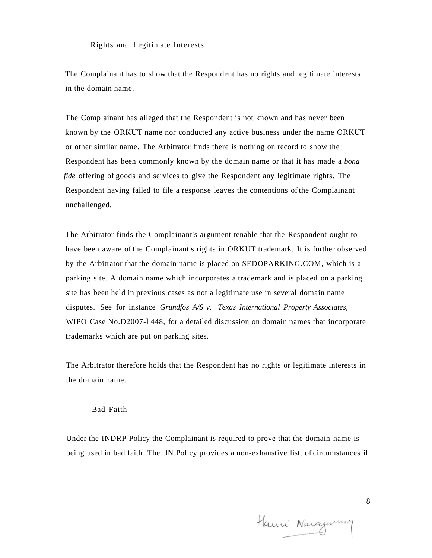Rights and Legitimate Interests

The Complainant has to show that the Respondent has no rights and legitimate interests in the domain name.

The Complainant has alleged that the Respondent is not known and has never been known by the ORKUT name nor conducted any active business under the name ORKUT or other similar name. The Arbitrator finds there is nothing on record to show the Respondent has been commonly known by the domain name or that it has made a *bona fide* offering of goods and services to give the Respondent any legitimate rights. The Respondent having failed to file a response leaves the contentions of the Complainant unchallenged.

The Arbitrator finds the Complainant's argument tenable that the Respondent ought to have been aware of the Complainant's rights in ORKUT trademark. It is further observed by the Arbitrator that the domain name is placed on [SEDOPARKING.COM,](http://SEDOPARKING.COM) which is a parking site. A domain name which incorporates a trademark and is placed on a parking site has been held in previous cases as not a legitimate use in several domain name disputes. See for instance *Grundfos A/S v. Texas International Property Associates,*  WIPO Case No.D2007-l 448, for a detailed discussion on domain names that incorporate trademarks which are put on parking sites.

The Arbitrator therefore holds that the Respondent has no rights or legitimate interests in the domain name.

#### Bad Faith

Under the INDRP Policy the Complainant is required to prove that the domain name is being used in bad faith. The .IN Policy provides a non-exhaustive list, of circumstances if

Hanni Narajumy